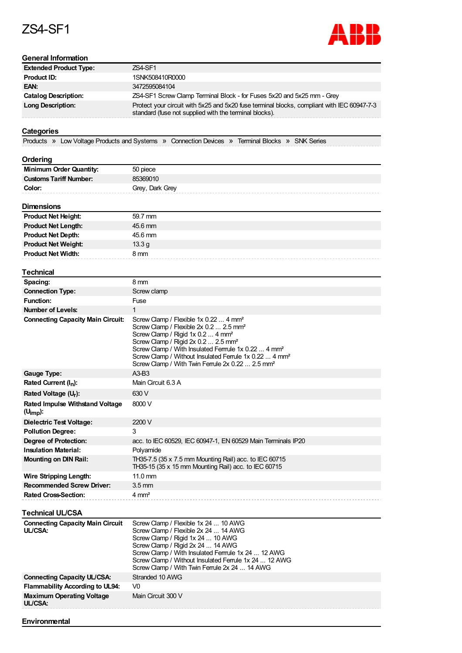## ZS4-SF1

**Environmental**



| <b>General Information</b>                              |                                                                                                                                                                                                                                                                                                                                                                  |
|---------------------------------------------------------|------------------------------------------------------------------------------------------------------------------------------------------------------------------------------------------------------------------------------------------------------------------------------------------------------------------------------------------------------------------|
| <b>Extended Product Type:</b>                           | <b>ZS4-SF1</b>                                                                                                                                                                                                                                                                                                                                                   |
| <b>Product ID:</b>                                      | 1SNK508410R0000                                                                                                                                                                                                                                                                                                                                                  |
| EAN:                                                    | 3472595084104                                                                                                                                                                                                                                                                                                                                                    |
| <b>Catalog Description:</b>                             | ZS4-SF1 Screw Clamp Terminal Block - for Fuses 5x20 and 5x25 mm - Grey                                                                                                                                                                                                                                                                                           |
| Long Description:                                       | Protect your circuit with 5x25 and 5x20 fuse terminal blocks, compliant with IEC 60947-7-3<br>standard (fuse not supplied with the terminal blocks).                                                                                                                                                                                                             |
|                                                         |                                                                                                                                                                                                                                                                                                                                                                  |
| <b>Categories</b>                                       |                                                                                                                                                                                                                                                                                                                                                                  |
|                                                         | Products » Low Voltage Products and Systems » Connection Devices » Terminal Blocks » SNK Series                                                                                                                                                                                                                                                                  |
|                                                         |                                                                                                                                                                                                                                                                                                                                                                  |
| Ordering                                                |                                                                                                                                                                                                                                                                                                                                                                  |
| <b>Minimum Order Quantity:</b>                          | 50 piece                                                                                                                                                                                                                                                                                                                                                         |
| <b>Customs Tariff Number:</b>                           | 85369010                                                                                                                                                                                                                                                                                                                                                         |
| Color:                                                  | Grey, Dark Grey                                                                                                                                                                                                                                                                                                                                                  |
|                                                         |                                                                                                                                                                                                                                                                                                                                                                  |
| <b>Dimensions</b>                                       |                                                                                                                                                                                                                                                                                                                                                                  |
| <b>Product Net Height:</b>                              | 59.7 mm                                                                                                                                                                                                                                                                                                                                                          |
| <b>Product Net Length:</b>                              | 45.6 mm                                                                                                                                                                                                                                                                                                                                                          |
| <b>Product Net Depth:</b>                               | 45.6 mm                                                                                                                                                                                                                                                                                                                                                          |
| <b>Product Net Weight:</b>                              | 13.3 <sub>g</sub>                                                                                                                                                                                                                                                                                                                                                |
| <b>Product Net Width:</b>                               | 8 mm                                                                                                                                                                                                                                                                                                                                                             |
|                                                         |                                                                                                                                                                                                                                                                                                                                                                  |
| <b>Technical</b>                                        |                                                                                                                                                                                                                                                                                                                                                                  |
| Spacing:                                                | 8 mm                                                                                                                                                                                                                                                                                                                                                             |
| <b>Connection Type:</b>                                 | Screw clamp                                                                                                                                                                                                                                                                                                                                                      |
| <b>Function:</b>                                        | Fuse                                                                                                                                                                                                                                                                                                                                                             |
| <b>Number of Levels:</b>                                | 1                                                                                                                                                                                                                                                                                                                                                                |
| <b>Connecting Capacity Main Circuit:</b>                | Screw Clamp / Flexible 1x 0.22  4 mm <sup>2</sup>                                                                                                                                                                                                                                                                                                                |
|                                                         | Screw Clamp / Flexible 2x 0.2  2.5 mm <sup>2</sup><br>Screw Clamp / Rigid 1x 0.2  4 mm <sup>2</sup><br>Screw Clamp / Rigid 2x 0.2  2.5 mm <sup>2</sup><br>Screw Clamp / With Insulated Ferrrule 1x 0.22  4 mm <sup>2</sup><br>Screw Clamp / Without Insulated Ferrule 1x 0.22  4 mm <sup>2</sup><br>Screw Clamp / With Twin Ferrule 2x 0.22  2.5 mm <sup>2</sup> |
| <b>Gauge Type:</b>                                      | $A3-B3$                                                                                                                                                                                                                                                                                                                                                          |
| Rated Current (I <sub>n</sub> ):                        | Main Circuit 6.3 A                                                                                                                                                                                                                                                                                                                                               |
| Rated Voltage (U <sub>r</sub> ):                        | 630 V                                                                                                                                                                                                                                                                                                                                                            |
|                                                         |                                                                                                                                                                                                                                                                                                                                                                  |
| Rated Impulse Withstand Voltage<br>$(U_{\text{imp}})$ : | 8000V                                                                                                                                                                                                                                                                                                                                                            |
| <b>Dielectric Test Voltage:</b>                         | 2200 V                                                                                                                                                                                                                                                                                                                                                           |
| <b>Pollution Degree:</b>                                | 3                                                                                                                                                                                                                                                                                                                                                                |
| <b>Degree of Protection:</b>                            | acc. to IEC 60529, IEC 60947-1, EN 60529 Main Terminals IP20                                                                                                                                                                                                                                                                                                     |
| <b>Insulation Material:</b>                             | Polyamide                                                                                                                                                                                                                                                                                                                                                        |
| <b>Mounting on DIN Rail:</b>                            | TH35-7.5 (35 x 7.5 mm Mounting Rail) acc. to IEC 60715<br>TH35-15 (35 x 15 mm Mounting Rail) acc. to IEC 60715                                                                                                                                                                                                                                                   |
| <b>Wire Stripping Length:</b>                           | $11.0 \text{ mm}$                                                                                                                                                                                                                                                                                                                                                |
| <b>Recommended Screw Driver:</b>                        | $3.5 \text{ mm}$                                                                                                                                                                                                                                                                                                                                                 |
| <b>Rated Cross-Section:</b>                             | $4 \, \text{mm}^2$                                                                                                                                                                                                                                                                                                                                               |
| Technical UL/CSA                                        |                                                                                                                                                                                                                                                                                                                                                                  |
| <b>Connecting Capacity Main Circuit</b>                 | Screw Clamp / Flexible 1x 24  10 AWG                                                                                                                                                                                                                                                                                                                             |
| UL/CSA:                                                 | Screw Clamp / Flexible 2x 24  14 AWG<br>Screw Clamp / Rigid 1x 24  10 AWG<br>Screw Clamp / Rigid 2x 24  14 AWG<br>Screw Clamp / With Insulated Ferrrule 1x 24  12 AWG<br>Screw Clamp / Without Insulated Ferrule 1x 24  12 AWG<br>Screw Clamp / With Twin Ferrule 2x 24  14 AWG                                                                                  |
| <b>Connecting Capacity UL/CSA:</b>                      | Stranded 10 AWG                                                                                                                                                                                                                                                                                                                                                  |
| <b>Flammability According to UL94:</b>                  | V <sub>0</sub>                                                                                                                                                                                                                                                                                                                                                   |
| <b>Maximum Operating Voltage</b><br>UL/CSA:             | Main Circuit 300 V                                                                                                                                                                                                                                                                                                                                               |
|                                                         |                                                                                                                                                                                                                                                                                                                                                                  |